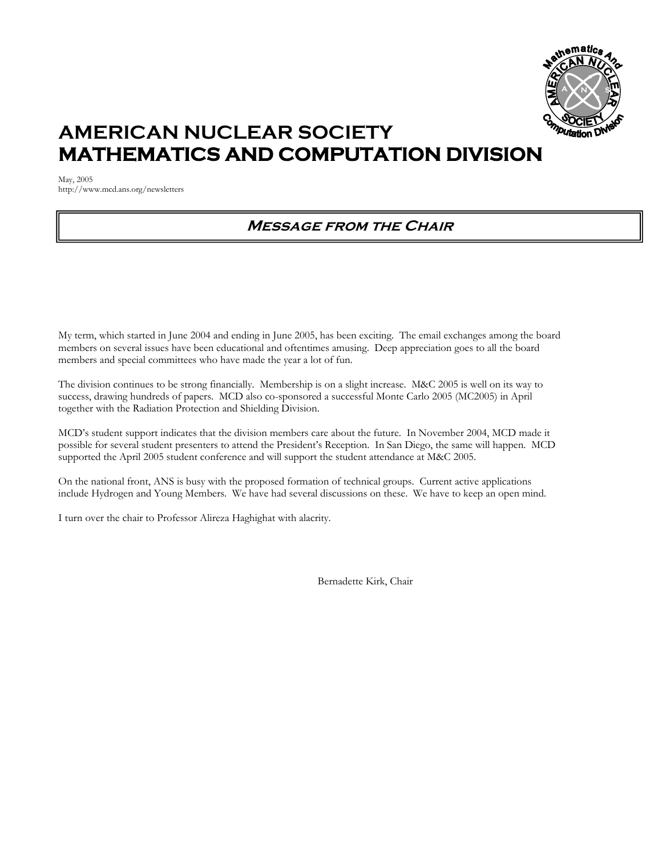

# **AMERICAN NUCLEAR SOCIETY MATHEMATICS AND COMPUTATION DIVISION**

May, 2005 http://www.mcd.ans.org/newsletters

## **Message from the Chair**

My term, which started in June 2004 and ending in June 2005, has been exciting. The email exchanges among the board members on several issues have been educational and oftentimes amusing. Deep appreciation goes to all the board members and special committees who have made the year a lot of fun.

The division continues to be strong financially. Membership is on a slight increase. M&C 2005 is well on its way to success, drawing hundreds of papers. MCD also co-sponsored a successful Monte Carlo 2005 (MC2005) in April together with the Radiation Protection and Shielding Division.

MCD's student support indicates that the division members care about the future. In November 2004, MCD made it possible for several student presenters to attend the President's Reception. In San Diego, the same will happen. MCD supported the April 2005 student conference and will support the student attendance at M&C 2005.

On the national front, ANS is busy with the proposed formation of technical groups. Current active applications include Hydrogen and Young Members. We have had several discussions on these. We have to keep an open mind.

I turn over the chair to Professor Alireza Haghighat with alacrity.

Bernadette Kirk, Chair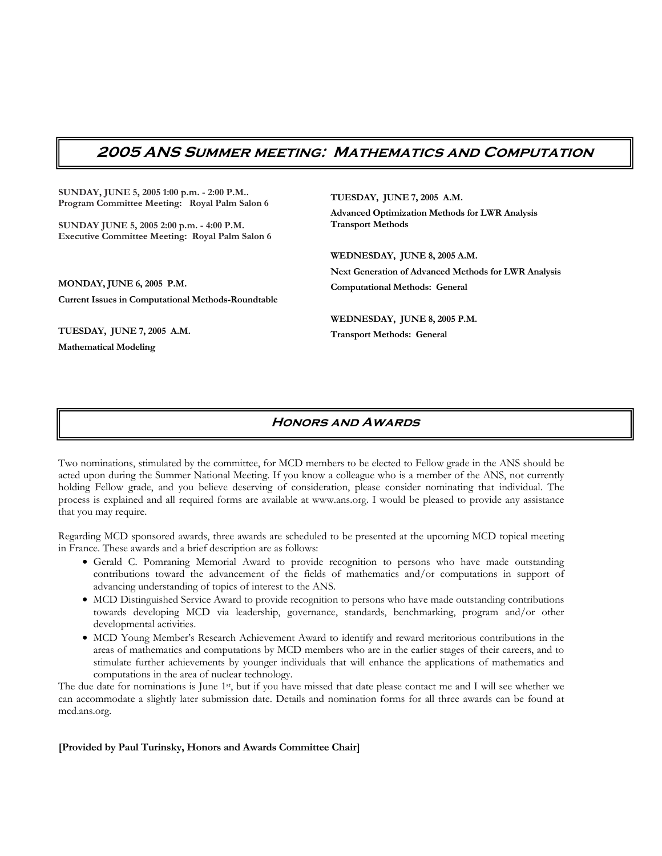### **2005 ANS Summer meeting: Mathematics and Computation**

**SUNDAY, JUNE 5, 2005 1:00 p.m. - 2:00 P.M.. Program Committee Meeting: Royal Palm Salon 6** 

**SUNDAY JUNE 5, 2005 2:00 p.m. - 4:00 P.M. Executive Committee Meeting: Royal Palm Salon 6**

**MONDAY, JUNE 6, 2005 P.M. Current Issues in Computational Methods-Roundtable** 

**TUESDAY, JUNE 7, 2005 A.M.** 

**Mathematical Modeling** 

**TUESDAY, JUNE 7, 2005 A.M.** 

**Advanced Optimization Methods for LWR Analysis Transport Methods** 

**WEDNESDAY, JUNE 8, 2005 A.M.** 

**Next Generation of Advanced Methods for LWR Analysis Computational Methods: General** 

**WEDNESDAY, JUNE 8, 2005 P.M. Transport Methods: General**

### **Honors and Awards**

Two nominations, stimulated by the committee, for MCD members to be elected to Fellow grade in the ANS should be acted upon during the Summer National Meeting. If you know a colleague who is a member of the ANS, not currently holding Fellow grade, and you believe deserving of consideration, please consider nominating that individual. The process is explained and all required forms are available at www.ans.org. I would be pleased to provide any assistance that you may require.

Regarding MCD sponsored awards, three awards are scheduled to be presented at the upcoming MCD topical meeting in France. These awards and a brief description are as follows:

- Gerald C. Pomraning Memorial Award to provide recognition to persons who have made outstanding contributions toward the advancement of the fields of mathematics and/or computations in support of advancing understanding of topics of interest to the ANS.
- MCD Distinguished Service Award to provide recognition to persons who have made outstanding contributions towards developing MCD via leadership, governance, standards, benchmarking, program and/or other developmental activities.
- MCD Young Member's Research Achievement Award to identify and reward meritorious contributions in the areas of mathematics and computations by MCD members who are in the earlier stages of their careers, and to stimulate further achievements by younger individuals that will enhance the applications of mathematics and computations in the area of nuclear technology.

The due date for nominations is June 1<sup>st</sup>, but if you have missed that date please contact me and I will see whether we can accommodate a slightly later submission date. Details and nomination forms for all three awards can be found at mcd.ans.org.

**[Provided by Paul Turinsky, Honors and Awards Committee Chair]**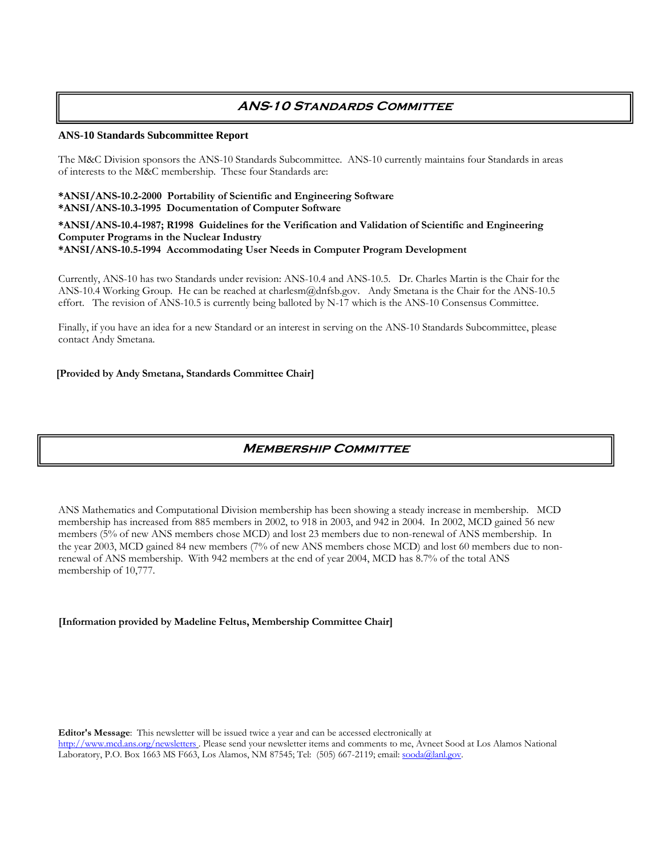### **ANS-10 Standards Committee**

### **ANS-10 Standards Subcommittee Report**

The M&C Division sponsors the ANS-10 Standards Subcommittee. ANS-10 currently maintains four Standards in areas of interests to the M&C membership. These four Standards are:

#### **\*ANSI/ANS-10.2-2000 Portability of Scientific and Engineering Software \*ANSI/ANS-10.3-1995 Documentation of Computer Software**

**\*ANSI/ANS-10.4-1987; R1998 Guidelines for the Verification and Validation of Scientific and Engineering Computer Programs in the Nuclear Industry \*ANSI/ANS-10.5-1994 Accommodating User Needs in Computer Program Development** 

Currently, ANS-10 has two Standards under revision: ANS-10.4 and ANS-10.5. Dr. Charles Martin is the Chair for the ANS-10.4 Working Group. He can be reached at charlesm@dnfsb.gov. Andy Smetana is the Chair for the ANS-10.5 effort. The revision of ANS-10.5 is currently being balloted by N-17 which is the ANS-10 Consensus Committee.

Finally, if you have an idea for a new Standard or an interest in serving on the ANS-10 Standards Subcommittee, please contact Andy Smetana.

### **[Provided by Andy Smetana, Standards Committee Chair]**

### **Membership Committee**

ANS Mathematics and Computational Division membership has been showing a steady increase in membership. MCD membership has increased from 885 members in 2002, to 918 in 2003, and 942 in 2004. In 2002, MCD gained 56 new members (5% of new ANS members chose MCD) and lost 23 members due to non-renewal of ANS membership. In the year 2003, MCD gained 84 new members (7% of new ANS members chose MCD) and lost 60 members due to nonrenewal of ANS membership. With 942 members at the end of year 2004, MCD has 8.7% of the total ANS membership of 10,777.

### **[Information provided by Madeline Feltus, Membership Committee Chair]**

**Editor's Message**: This newsletter will be issued twice a year and can be accessed electronically at http://www.mcd.ans.org/newsletters . Please send your newsletter items and comments to me, Avneet Sood at Los Alamos National Laboratory, P.O. Box 1663 MS F663, Los Alamos, NM 87545; Tel: (505) 667-2119; email: sooda@lanl.gov.